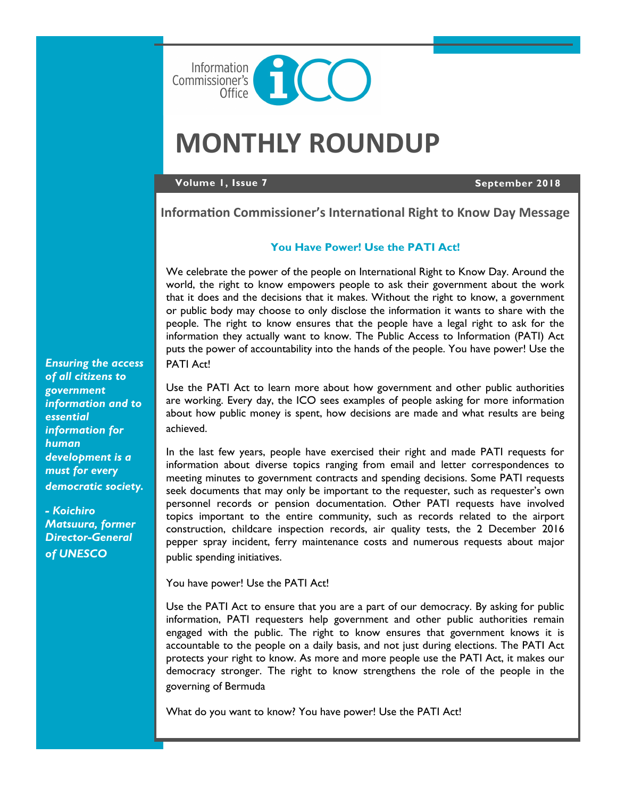

# **MONTHLY ROUNDUP**

#### **Volume 1, Issue 7 September 2018**

**Information Commissioner's International Right to Know Day Message**

#### **You Have Power! Use the PATI Act!**

We celebrate the power of the people on International Right to Know Day. Around the world, the right to know empowers people to ask their government about the work that it does and the decisions that it makes. Without the right to know, a government or public body may choose to only disclose the information it wants to share with the people. The right to know ensures that the people have a legal right to ask for the information they actually want to know. The Public Access to Information (PATI) Act puts the power of accountability into the hands of the people. You have power! Use the PATI Act!

Use the PATI Act to learn more about how government and other public authorities are working. Every day, the ICO sees examples of people asking for more information about how public money is spent, how decisions are made and what results are being achieved.

In the last few years, people have exercised their right and made PATI requests for information about diverse topics ranging from email and letter correspondences to meeting minutes to government contracts and spending decisions. Some PATI requests seek documents that may only be important to the requester, such as requester's own personnel records or pension documentation. Other PATI requests have involved topics important to the entire community, such as records related to the airport construction, childcare inspection records, air quality tests, the 2 December 2016 pepper spray incident, ferry maintenance costs and numerous requests about major public spending initiatives.

You have power! Use the PATI Act!

Use the PATI Act to ensure that you are a part of our democracy. By asking for public information, PATI requesters help government and other public authorities remain engaged with the public. The right to know ensures that government knows it is accountable to the people on a daily basis, and not just during elections. The PATI Act protects your right to know. As more and more people use the PATI Act, it makes our democracy stronger. The right to know strengthens the role of the people in the governing of Bermuda

What do you want to know? You have power! Use the PATI Act!

*Ensuring the access of all citizens to government information and to essential information for human development is a must for every democratic society.* 

*- Koichiro Matsuura, former Director-General of UNESCO*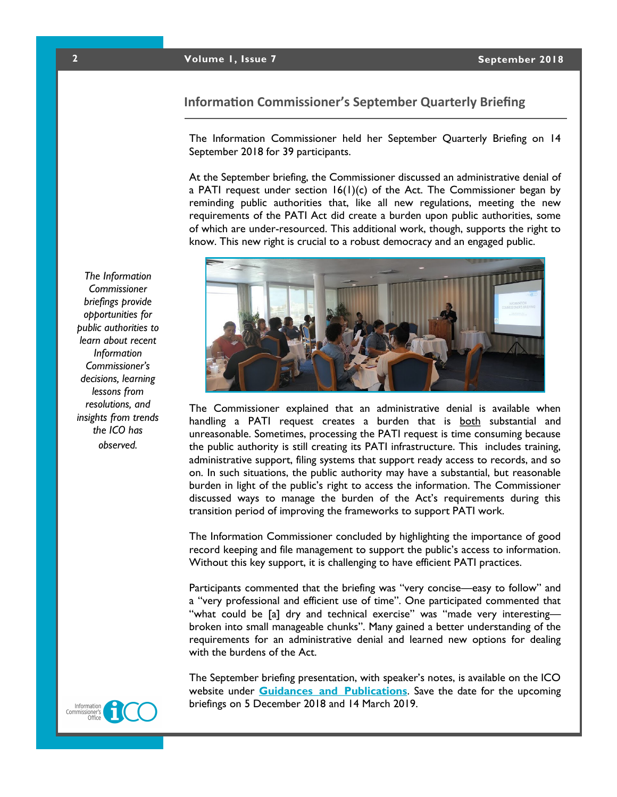## **2 Volume 1, Issue 7 September 2018**

# **Information Commissioner's September Quarterly Briefing**

The Information Commissioner held her September Quarterly Briefing on 14 September 2018 for 39 participants.

At the September briefing, the Commissioner discussed an administrative denial of a PATI request under section  $16(1)(c)$  of the Act. The Commissioner began by reminding public authorities that, like all new regulations, meeting the new requirements of the PATI Act did create a burden upon public authorities, some of which are under-resourced. This additional work, though, supports the right to know. This new right is crucial to a robust democracy and an engaged public.



The Commissioner explained that an administrative denial is available when handling a PATI request creates a burden that is both substantial and unreasonable. Sometimes, processing the PATI request is time consuming because the public authority is still creating its PATI infrastructure. This includes training, administrative support, filing systems that support ready access to records, and so on. In such situations, the public authority may have a substantial, but reasonable burden in light of the public's right to access the information. The Commissioner discussed ways to manage the burden of the Act's requirements during this transition period of improving the frameworks to support PATI work.

The Information Commissioner concluded by highlighting the importance of good record keeping and file management to support the public's access to information. Without this key support, it is challenging to have efficient PATI practices.

Participants commented that the briefing was "very concise—easy to follow" and a "very professional and efficient use of time". One participated commented that "what could be [a] dry and technical exercise" was "made very interesting broken into small manageable chunks". Many gained a better understanding of the requirements for an administrative denial and learned new options for dealing with the burdens of the Act.

The September briefing presentation, with speaker's notes, is available on the ICO website under **[Guidances and Publications](https://www.ico.bm/exemptions-key-provision-guidances)**. Save the date for the upcoming briefings on 5 December 2018 and 14 March 2019.

*The Information Commissioner briefings provide opportunities for public authorities to learn about recent Information Commissioner's decisions, learning lessons from resolutions, and insights from trends the ICO has observed.* 

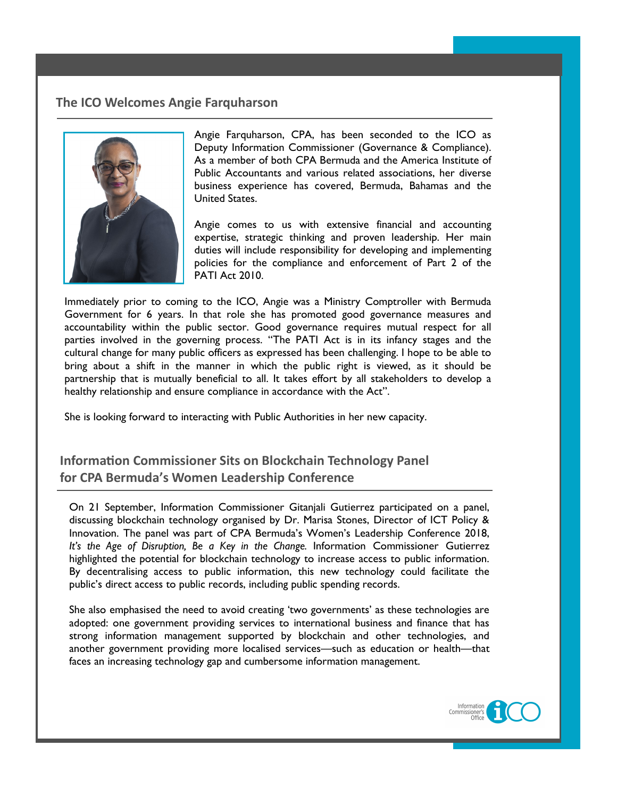# **The ICO Welcomes Angie Farquharson**



Angie Farquharson, CPA, has been seconded to the ICO as Deputy Information Commissioner (Governance & Compliance). As a member of both CPA Bermuda and the America Institute of Public Accountants and various related associations, her diverse business experience has covered, Bermuda, Bahamas and the United States.

**2018**

Angie comes to us with extensive financial and accounting expertise, strategic thinking and proven leadership. Her main duties will include responsibility for developing and implementing policies for the compliance and enforcement of Part 2 of the PATI Act 2010.

Immediately prior to coming to the ICO, Angie was a Ministry Comptroller with Bermuda Government for 6 years. In that role she has promoted good governance measures and accountability within the public sector. Good governance requires mutual respect for all parties involved in the governing process. "The PATI Act is in its infancy stages and the cultural change for many public officers as expressed has been challenging. I hope to be able to bring about a shift in the manner in which the public right is viewed, as it should be partnership that is mutually beneficial to all. It takes effort by all stakeholders to develop a healthy relationship and ensure compliance in accordance with the Act".

She is looking forward to interacting with Public Authorities in her new capacity.

**Information Commissioner Sits on Blockchain Technology Panel for CPA Bermuda's Women Leadership Conference**

On 21 September, Information Commissioner Gitanjali Gutierrez participated on a panel, discussing blockchain technology organised by Dr. Marisa Stones, Director of ICT Policy & Innovation. The panel was part of CPA Bermuda's Women's Leadership Conference 2018, *It's the Age of Disruption, Be a Key in the Change.* Information Commissioner Gutierrez highlighted the potential for blockchain technology to increase access to public information. By decentralising access to public information, this new technology could facilitate the public's direct access to public records, including public spending records.

She also emphasised the need to avoid creating 'two governments' as these technologies are adopted: one government providing services to international business and finance that has strong information management supported by blockchain and other technologies, and another government providing more localised services—such as education or health—that faces an increasing technology gap and cumbersome information management.